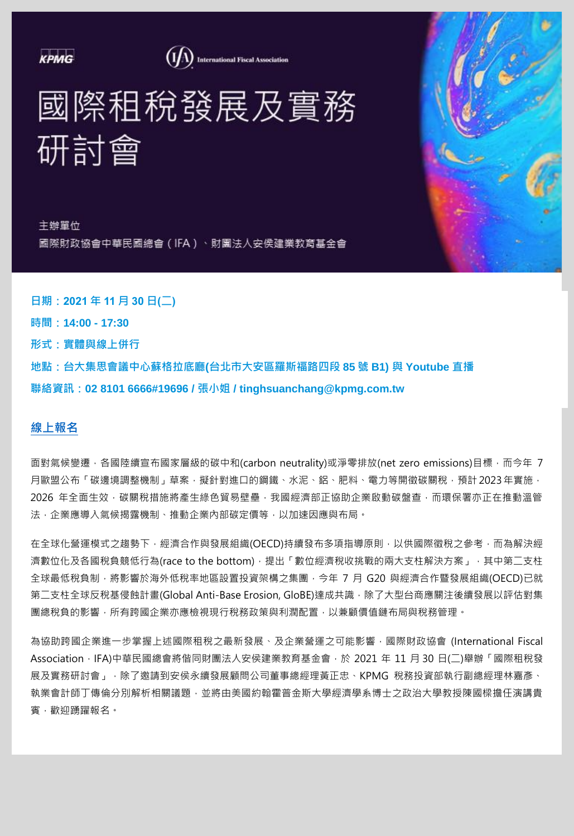**KPMG** 

(IA) International Fiscal Association

國際租稅發展及實務 研討會

主辦單位 國際財政協會中華民國總會 (IFA ) 、財團法人安侯建業教育基金會

**日期:2021 年 11 月 30 日(二) 時間:14:00 - 17:30 形式:實體與線上併行 地點:台大集思會議中心蘇格拉底廳(台北市大安區羅斯福路四段 85 號 B1) 與 Youtube 直播 聯絡資訊:02 8101 6666#19696 / 張小姐 / tinghsuanchang@kpmg.com.tw**

# **[線上報名](https://bit.ly/2ZH93Pl)**

面對氣候變遷,各國陸續宣布國家層級的碳中和(carbon neutrality)或淨零排放(net zero emissions)目標,而今年 7 月歐盟公布「碳邊境調整機制」草案,擬針對進口的鋼鐵、水泥、鋁、肥料、電力等開徵碳關稅,預計 2023年實施, 2026 年全面生效,碳關稅措施將產生綠色貿易壁壘,我國經濟部正協助企業啟動碳盤查,而環保署亦正在推動溫管 法,企業應導入氣候揭露機制、推動企業內部碳定價等,以加速因應與布局。

在全球化營運模式之趨勢下,經濟合作與發展組織(OECD)持續發布多項指導原則,以供國際徵稅之參考,而為解決經 濟數位化及各國稅負競低行為(race to the bottom), 提出「數位經濟稅收挑戰的兩大支柱解決方案」, 其中第二支柱 全球最低稅負制,將影響於海外低稅率地區設置投資架構之集團,今年 7 月 G20 與經濟合作暨發展組織(OECD)已就 第二支柱全球反稅基侵蝕計畫(Global Anti-Base Erosion, GloBE)達成共識,除了大型台商應關注後續發展以評估對集 團總稅負的影響,所有跨國企業亦應檢視現行稅務政策與利潤配置,以兼顧價值鏈布局與稅務管理。

為協助跨國企業進一步掌握上述國際租稅之最新發展、及企業營運之可能影響,國際財政協會 (International Fiscal Association, IFA)中華民國總會將偕同財團法人安侯建業教育基金會,於 2021 年 11 月 30 日(二)舉辦「國際租稅發 展及實務研討會」,除了邀請到安侯永續發展顧問公司董事總經理黃正忠、KPMG 稅務投資部執行副總經理林嘉彥、 執業會計師丁傳倫分別解析相關議題,並將由美國約翰霍普金斯大學經濟學系博士之政治大學教授陳國樑擔任演講貴 賓,歡迎踴躍報名。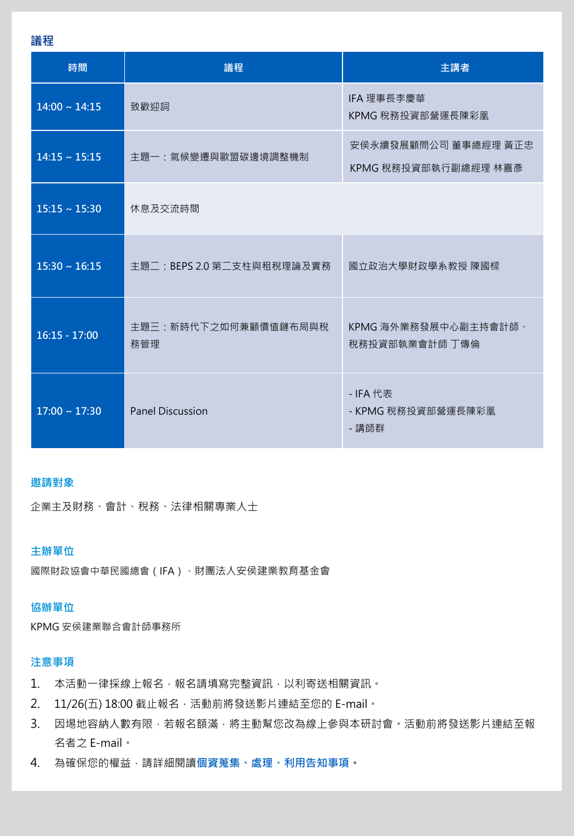**議程**

| 時間                 | 議程                          | 主講者                                          |
|--------------------|-----------------------------|----------------------------------------------|
| $14:00 \sim 14:15$ | 致歡迎詞                        | IFA 理事長李慶華<br>KPMG 稅務投資部營運長陳彩凰               |
| $14:15 \sim 15:15$ | 主題一:氣候變遷與歐盟碳邊境調整機制          | 安侯永續發展顧問公司 董事總經理 黃正忠<br>KPMG 稅務投資部執行副總經理 林嘉彥 |
| $15:15 \sim 15:30$ | 休息及交流時間                     |                                              |
| $15:30 \sim 16:15$ | 主題二: BEPS 2.0 第二支柱與租稅理論及實務  | 國立政治大學財政學系教授 陳國樑                             |
| $16:15 - 17:00$    | 主題三:新時代下之如何兼顧價值鏈布局與稅<br>務管理 | KPMG 海外業務發展中心副主持會計師、<br>稅務投資部執業會計師 丁傳倫       |
| $17:00 \sim 17:30$ | <b>Panel Discussion</b>     | - IFA 代表<br>- KPMG 稅務投資部營運長陳彩凰<br>- 講師群      |

# **邀請對象**

企業主及財務、會計、稅務、法律相關專業人士

# **主辦單位**

國際財政協會中華民國總會(IFA)、財團法人安侯建業教育基金會

#### **協辦單位**

KPMG 安侯建業聯合會計師事務所

# **注意事項**

- 1. 本活動一律採線上報名,報名請填寫完整資訊,以利寄送相關資訊。
- 2. 11/26(五) 18:00 截止報名,活動前將發送影片連結至您的 E-mail。
- 3. 因場地容納人數有限,若報名額滿,將主動幫您改為線上參與本研討會。活動前將發送影片連結至報 名者之 E-mail。
- 4. 為確保您的權益,請詳細閱讀[個資蒐集、處理、利用告知事項。](https://home.kpmg.com/content/dam/kpmg/tw/pdf/2017/04/tw-KPMG-Privacy-Statement-MB-CPA.pdf)